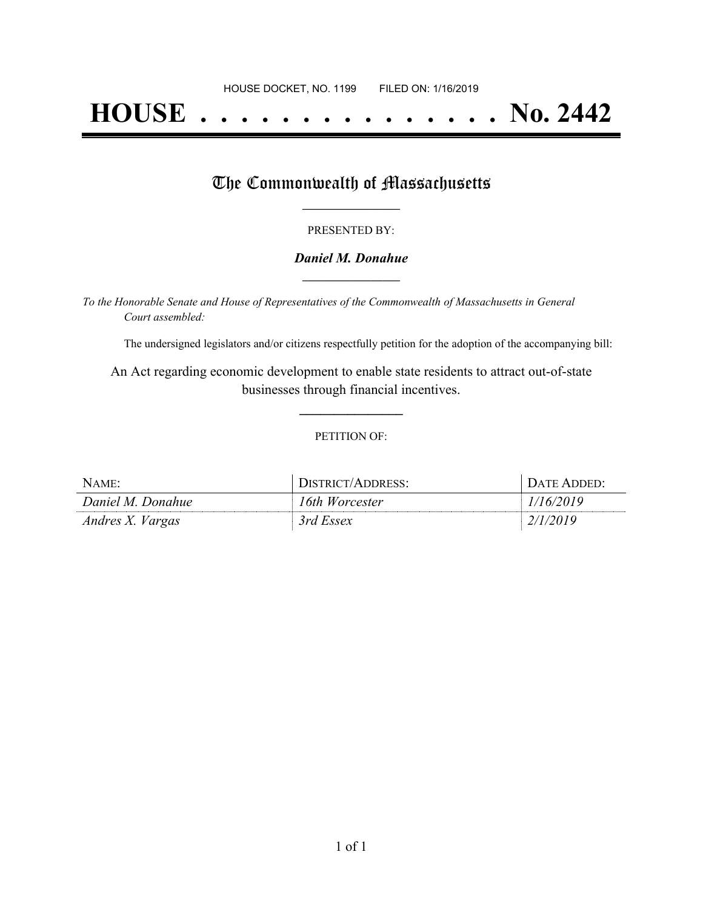# **HOUSE . . . . . . . . . . . . . . . No. 2442**

## The Commonwealth of Massachusetts

#### PRESENTED BY:

#### *Daniel M. Donahue* **\_\_\_\_\_\_\_\_\_\_\_\_\_\_\_\_\_**

*To the Honorable Senate and House of Representatives of the Commonwealth of Massachusetts in General Court assembled:*

The undersigned legislators and/or citizens respectfully petition for the adoption of the accompanying bill:

An Act regarding economic development to enable state residents to attract out-of-state businesses through financial incentives.

**\_\_\_\_\_\_\_\_\_\_\_\_\_\_\_**

#### PETITION OF:

| NAME:             | DISTRICT/ADDRESS: | <b>DATE ADDED:</b> |
|-------------------|-------------------|--------------------|
| Daniel M. Donahue | 16th Worcester    | 1/16/2019          |
| Andres X. Vargas  | 3rd Essex         | 2/1/2019           |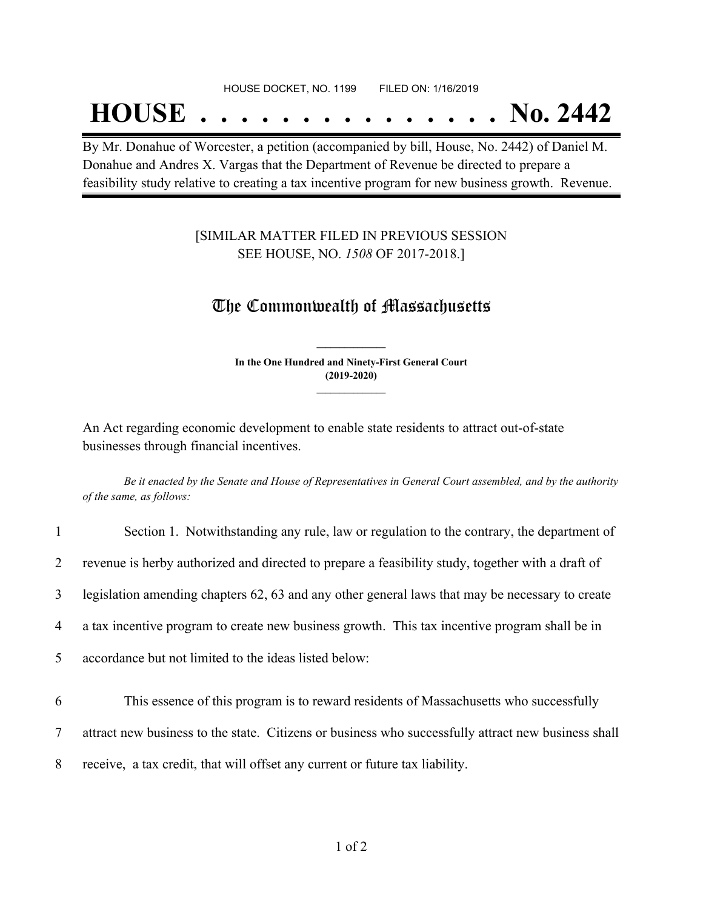#### HOUSE DOCKET, NO. 1199 FILED ON: 1/16/2019

## **HOUSE . . . . . . . . . . . . . . . No. 2442**

By Mr. Donahue of Worcester, a petition (accompanied by bill, House, No. 2442) of Daniel M. Donahue and Andres X. Vargas that the Department of Revenue be directed to prepare a feasibility study relative to creating a tax incentive program for new business growth. Revenue.

### [SIMILAR MATTER FILED IN PREVIOUS SESSION SEE HOUSE, NO. *1508* OF 2017-2018.]

## The Commonwealth of Massachusetts

**In the One Hundred and Ninety-First General Court (2019-2020) \_\_\_\_\_\_\_\_\_\_\_\_\_\_\_**

**\_\_\_\_\_\_\_\_\_\_\_\_\_\_\_**

An Act regarding economic development to enable state residents to attract out-of-state businesses through financial incentives.

Be it enacted by the Senate and House of Representatives in General Court assembled, and by the authority *of the same, as follows:*

| $\mathbf{1}$   | Section 1. Notwithstanding any rule, law or regulation to the contrary, the department of           |
|----------------|-----------------------------------------------------------------------------------------------------|
| $\overline{2}$ | revenue is herby authorized and directed to prepare a feasibility study, together with a draft of   |
| 3              | legislation amending chapters 62, 63 and any other general laws that may be necessary to create     |
| 4              | a tax incentive program to create new business growth. This tax incentive program shall be in       |
| 5              | accordance but not limited to the ideas listed below:                                               |
| 6              | This essence of this program is to reward residents of Massachusetts who successfully               |
| 7              | attract new business to the state. Citizens or business who successfully attract new business shall |
| 8              | receive, a tax credit, that will offset any current or future tax liability.                        |